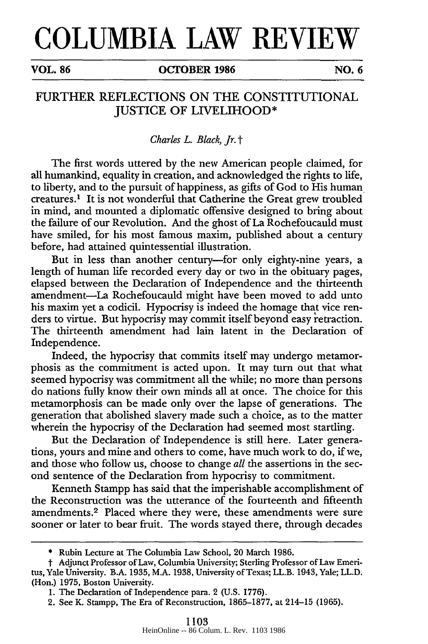## **COLUMBIA LAW REVIEW**

## **VOL. 86 OCTOBER 1986 NO. 6**

## FURTHER REFLECTIONS ON THE CONSTITUTIONAL JUSTICE OF LIVELIHOOD\*

## *Charles L. Black, Jr.* t

The first words uttered by the new American people claimed, for all humankind, equality in creation, and acknowledged the rights to life, to liberty, and to the pursuit of happiness, as gifts of God to His human creatures.' It is not wonderful that Catherine the Great grew troubled in mind, and mounted a diplomatic offensive designed to bring about the failure of our Revolution. And the ghost of La Rochefoucauld must have smiled, for his most famous maxim, published about a century before, had attained quintessential illustration.

But in less than another century-for only eighty-nine years, a length of human life recorded every day or two in the obituary pages, elapsed between the Declaration of Independence and the thirteenth amendment-La Rochefoucauld might have been moved to add unto his maxim yet a codicil. Hypocrisy is indeed the homage that vice renders to virtue. But hypocrisy may commit itself beyond easy retraction. The thirteenth amendment had lain latent in the Declaration of Independence.

Indeed, the hypocrisy that commits itself may undergo metamorphosis as the commitment is acted upon. It may turn out that what seemed hypocrisy was commitment all the while; no more than persons do nations fully know their own minds all at once. The choice for this metamorphosis can be made only over the lapse of generations. The generation that abolished slavery made such a choice, as to the matter wherein the hypocrisy of the Declaration had seemed most startling.

But the Declaration of Independence is still here. Later generations, yours and mine and others to come, have much work to do, if we, and those who follow us, choose to change *all* the assertions in the second sentence of the Declaration from hypocrisy to commitment.

Kenneth Stampp has said that the imperishable accomplishment of the Reconstruction was the utterance of the fourteenth and fifteenth amendments.<sup>2</sup> Placed where they were, these amendments were sure sooner or later to bear fruit. The words stayed there, through decades

<sup>\*</sup> Rubin Lecture at The Columbia Law School, 20 March 1986.

t Adjunct Professor of Law, Columbia University; Sterling Professor of Law Emeritus, Yale University. B.A. 1935, M.A. 1938, University of Texas; LL.B. 1943, Yale; LL.D. (Hon.) 1975, Boston University.

<sup>1.</sup> The Declaration of Independence para. 2 (U.S. 1776).

<sup>2.</sup> See K. Stampp, The Era of Reconstruction, 1865-1877, at 214-15 (1965).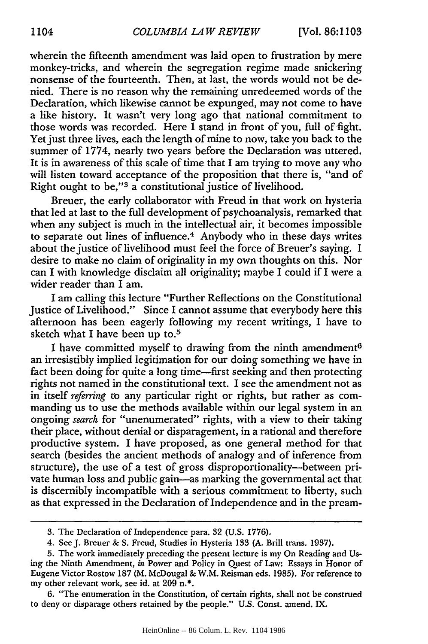wherein the fifteenth amendment was laid open to frustration by mere monkey-tricks, and wherein the segregation regime made snickering nonsense of the fourteenth. Then, at last, the words would not be denied. There is no reason why the remaining unredeemed words of the Declaration, which likewise cannot be expunged, may not come to have a like history. It wasn't very long ago that national commitment to those words was recorded. Here I stand in front of you, full of fight. Yet just three lives, each the length of mine to now, take you back to the summer of 1774, nearly two years before the Declaration was uttered, It is in awareness of this scale of time that I am trying to move any who will listen toward acceptance of the proposition that there is, "and of Right ought to be,"<sup>3</sup> a constitutional justice of livelihood.

Breuer, the early collaborator with Freud in that work on hysteria that led at last to the full development of psychoanalysis, remarked that when any subject is much in the intellectual air, it becomes impossible to separate out lines of influence.<sup>4</sup> Anybody who in these days writes about the justice of livelihood must feel the force of Breuer's saying. I desire to make no claim of originality in my own thoughts on this. Nor can I with knowledge disclaim all originality; maybe I could if I were a wider reader than I am.

I am calling this lecture "Further Reflections on the Constitutional Justice of Livelihood." Since I cannot assume that everybody here this afternoon has been eagerly following my recent writings, I have to sketch what I have been up to.<sup>5</sup>

I have committed myself to drawing from the ninth amendment<sup>6</sup> an irresistibly implied legitimation for our doing something we have in fact been doing for quite a long time-first seeking and then protecting rights not named in the constitutional text. I see the amendment not as in itself *referring* to any particular right or rights, but rather as commanding us to use the methods available within our legal system in an ongoing *search* for "unenumerated" rights, with a view to their taking their place, without denial or disparagement, in a rational and therefore productive system. I have proposed, as one general method for that search (besides the ancient methods of analogy and of inference from structure), the use of a test of gross disproportionality-between private human loss and public gain-as marking the governmental act that is discernibly incompatible with a serious commitment to liberty, such as that expressed in the Declaration of Independence and in the pream-

6. "The enumeration in the Constitution, of certain rights, shall not be construed to deny or disparage others retained by the people." U.S. Const. amend. IX.

**<sup>3.</sup>** The Declaration of Independence para. 32 **(U.S.** 1776).

<sup>4.</sup> SeeJ. Breuer & S. Freud, Studies in Hysteria 133 (A. Brill trans. 1937).

<sup>5.</sup> The work immediately preceding the present lecture is my On Reading and Using the Ninth Amendment, *in* Power and Policy in Quest of Law: Essays in Honor of Eugene Victor Rostow 187 (M. McDougal & W.M. Reisman eds. 1985). For reference to my other relevant work, see id. at 209 n.\*.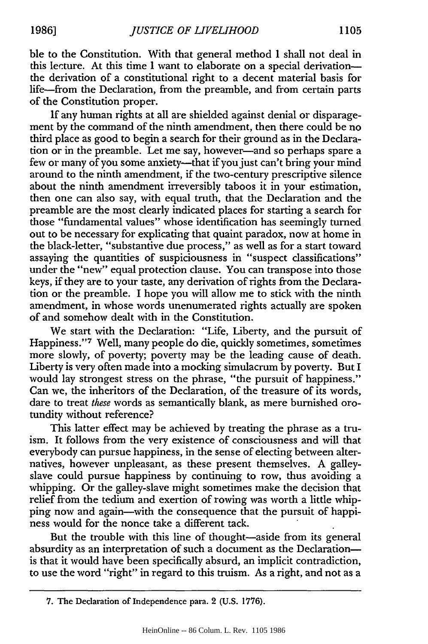ble to the Constitution. With that general method I shall not deal in this lecture. At this time I want to elaborate on a special derivationthe derivation of a constitutional right to a decent material basis for life-from the Declaration, from the preamble, and from certain parts of the Constitution proper.

If any human rights at all are shielded against denial or disparagement by the command of the ninth amendment, then there could be no third place as good to begin a search for their ground as in the Declaration or in the preamble. Let me say, however-and so perhaps spare a few or many of you some anxiety-that if you just can't bring your mind around to the ninth amendment, if the two-century prescriptive silence about the ninth amendment irreversibly taboos it in your estimation, then one can also say, with equal truth, that the Declaration and the preamble are the most clearly indicated places for starting a search for those "fundamental values" whose identification has seemingly turned out to be necessary for explicating that quaint paradox, now at home in the black-letter, "substantive due process," as well as for a start toward assaying the quantities of suspiciousness in "suspect classifications" under the "new" equal protection clause. You can transpose into those keys, if they are to your taste, any derivation of rights from the Declaration or the preamble. I hope you will allow me to stick with the ninth amendment, in whose words unenumerated rights actually are spoken of and somehow dealt with in the Constitution.

We start with the Declaration: "Life, Liberty, and the pursuit of Happiness."<sup>7</sup> Well, many people do die, quickly sometimes, sometimes more slowly, of poverty; poverty may be the leading cause of death. Liberty is very often made into a mocking simulacrum by poverty. But I would lay strongest stress on the phrase, "the pursuit of happiness." Can we, the inheritors of the Declaration, of the treasure of its words, dare to treat *these* words as semantically blank, as mere burnished orotundity without reference?

This latter effect may be achieved by treating the phrase as a truism. It follows from the very existence of consciousness and will that everybody can pursue happiness, in the sense of electing between alternatives, however unpleasant, as these present themselves. A galleyslave could pursue happiness by continuing to row, thus avoiding a whipping. Or the galley-slave might sometimes make the decision that relief from the tedium and exertion of rowing was worth a little whipping now and again-with the consequence that the pursuit of happiness would for the nonce take a different tack.

But the trouble with this line of thought-aside from its general absurdity as an interpretation of such a document as the Declarationis that it would have been specifically absurd, an implicit contradiction, to use the word "right" in regard to this truism. As a right, and not as a

**<sup>7.</sup>** The Declaration of Independence para. 2 **(U.S. 1776).**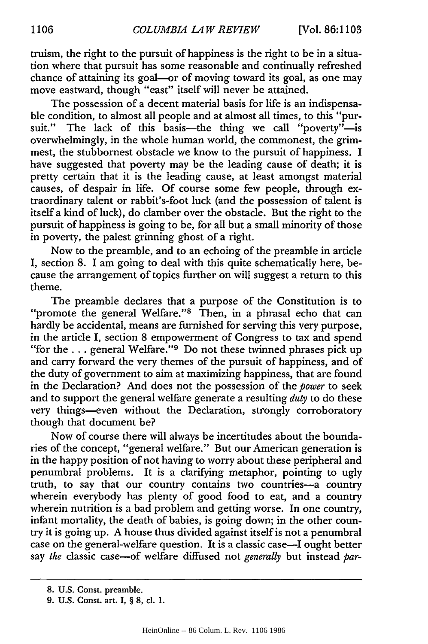truism, the right to the pursuit of happiness is the right to be in a situation where that pursuit has some reasonable and continually refreshed chance of attaining its goal-or of moving toward its goal, as one may move eastward, though "east" itself will never be attained.

The possession of a decent material basis for life is an indispensable condition, to almost all people and at almost all times, to this "pursuit." The lack of this basis—the thing we call "poverty"—is overwhelmingly, in the whole human world, the commonest, the grimmest, the stubbornest obstacle we know to the pursuit of happiness. I have suggested that poverty may be the leading cause of death; it is pretty certain that it is the leading cause, at least amongst material causes, of despair in life. Of course some few people, through extraordinary talent or rabbit's-foot luck (and the possession of talent is itself a kind of luck), do clamber over the obstacle. But the right to the pursuit of happiness is going to be, for all but a small minority of those in poverty, the palest grinning ghost of a right.

Now to the preamble, and to an echoing of the preamble in article I, section 8. I am going to deal with this quite schematically here, because the arrangement of topics further on will suggest a return to this theme.

The preamble declares that a purpose of the Constitution is to "promote the general Welfare."<sup>8</sup> Then, in a phrasal echo that can hardly be accidental, means are furnished for serving this very purpose, in the article I, section 8 empowerment of Congress to tax and spend "for the . . . general Welfare."<sup>9</sup> Do not these twinned phrases pick up and carry forward the very themes of the pursuit of happiness, and of the duty of government to aim at maximizing happiness, that are found in the Declaration? And does not the possession of the power to seek and to support the general welfare generate a resulting *duty* to do these very things-even without the Declaration, strongly corroboratory though that document be?

Now of course there will always be incertitudes about the boundaries of the concept, "general welfare." But our American generation is in the happy position of not having to worry about these peripheral and penumbral problems. It is a clarifying metaphor, pointing to ugly truth, to say that our country contains two countries-a country wherein everybody has plenty of good food to eat, and a country wherein nutrition is a bad problem and getting worse. In one country, infant mortality, the death of babies, is going down; in the other country it is going up. A house thus divided against itself is not a penumbral case on the general-welfare question. It is a classic case-I ought better say *the* classic case-of welfare diffused not *generally* but instead *par-*

<sup>8.</sup> U.S. Const. preamble.

<sup>9.</sup> U.S. Const. art. I, § 8, cl. 1.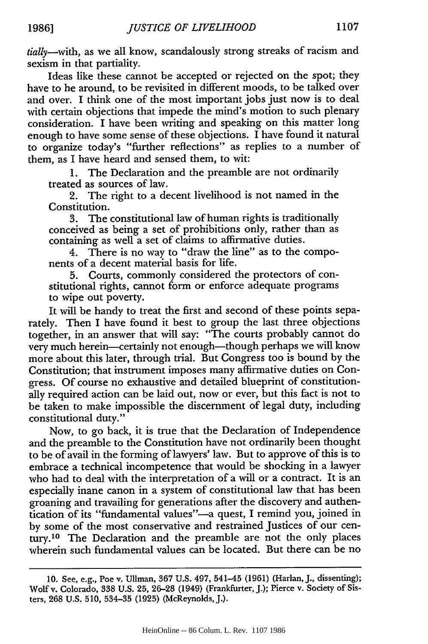*tially-with,* as we all know, scandalously strong streaks of racism and sexism in that partiality.

Ideas like these cannot be accepted or rejected on the spot; they have to be around, to be revisited in different moods, to be talked over and over. I think one of the most important jobs just now is to deal with certain objections that impede the mind's motion to such plenary consideration. I have been writing and speaking on this matter long enough to have some sense of these objections. I have found it natural to organize today's "further reflections" as replies to a number of them, as I have heard and sensed them, to wit:

1. The Declaration and the preamble are not ordinarily treated as sources of law.

2. The right to a decent livelihood is not named in the Constitution.

3. The constitutional law of human rights is traditionally conceived as being a set of prohibitions only, rather than as containing as well a set of claims to affirmative duties.

4. There is no way to "draw the line" as to the components of a decent material basis for life.

5. Courts, commonly considered the protectors of constitutional rights, cannot form or enforce adequate programs to wipe out poverty.

It will be handy to treat the first and second of these points separately. Then I have found it best to group the last three objections together, in an answer that will say: "The courts probably cannot do very much herein—certainly not enough—though perhaps we will know more about this later, through trial. But Congress too is bound by the Constitution; that instrument imposes many affirmative duties on Congress. Of course no exhaustive and detailed blueprint of constitutionally required action can be laid out, now or ever, but this fact is not to be taken to make impossible the discernment of legal duty, including constitutional duty."

Now, to go back, it is true that the Declaration of Independence and the preamble to the Constitution have not ordinarily been thought to be of avail in the forming of lawyers' law. But to approve of this is to embrace a technical incompetence that would be shocking in a lawyer who had to deal with the interpretation of a will or a contract. It is an especially inane canon in a system of constitutional law that has been groaning and travailing for generations after the discovery and authentication of its "fundamental values"-a quest, I remind you, joined in by some of the most conservative and restrained Justices of our century.10 The Declaration and the preamble are not the only places wherein such fundamental values can be located. But there can be no

<sup>10.</sup> See, e.g., Poe v. Ullman, 367 U.S. 497, 541-45 (1961) (Harlan, J., dissenting); Wolf v. Colorado, 338 U.S. 25, 26-28 (1949) (Frankfurter, J.); Pierce v. Society of Sisters, 268 U.S. 510, 534-35 (1925) (McReynolds, J.).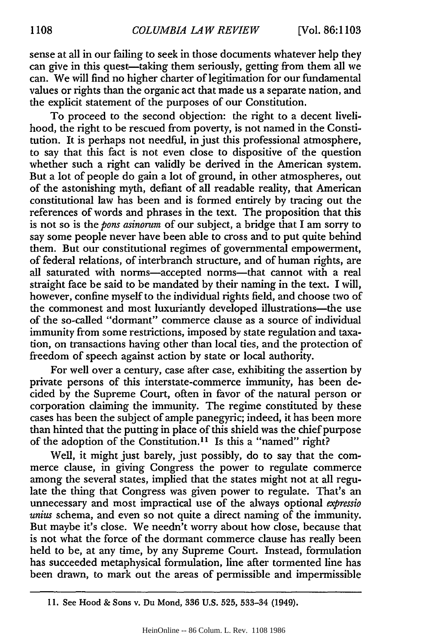sense at all in our failing to seek in those documents whatever help they can give in this quest—taking them seriously, getting from them all we can. We will find no higher charter of legitimation for our fundamental values or rights than the organic act that made us a separate nation, and the explicit statement of the purposes of our Constitution.

To proceed to the second objection: the right to a decent livelihood, the right to be rescued from poverty, is not named in the Constitution. It is perhaps not needful, in just this professional atmosphere, to say that this fact is not even close to dispositive of the question whether such a right can validly be derived in the American system. But a lot of people do gain a lot of ground, in other atmospheres, out of the astonishing myth, defiant of all readable reality, that American constitutional law has been and is formed entirely by tracing out the references of words and phrases in the text. The proposition that this is not so is the *pons asinorum* of our subject, a bridge that I am sorry to say some people never have been able to cross and to put quite behind them. But our constitutional regimes of governmental empowerment, of federal relations, of interbranch structure, and of human rights, are all saturated with norms-accepted norms-that cannot with a real straight face be said to be mandated **by** their naming in the text. I will, however, confine myself to the individual rights field, and choose two of the commonest and most luxuriantly developed illustrations-the use of the so-called "dormant" commerce clause as a source of individual immunity from some restrictions, imposed **by** state regulation and taxation, on transactions having other than local ties, and the protection of freedom of speech against action **by** state or local authority.

For well over a century, case after case, exhibiting the assertion **by** private persons of this interstate-commerce immunity, has been decided **by** the Supreme Court, often in favor of the natural person or corporation claiming the immunity. The regime constituted **by** these cases has been the subject of ample panegyric; indeed, it has been more than hinted that the putting in place of this shield was the chief purpose of the adoption of the Constitution.<sup>11</sup> Is this a "named" right?

Well, it might just barely, just possibly, do to say that the commerce clause, in giving Congress the power to regulate commerce among the several states, implied that the states might not at all regulate the thing that Congress was given power to regulate. That's an unnecessary and most impractical use of the always optional *expressio unius* schema, and even so not quite a direct naming of the immunity. But maybe it's close. We needn't worry about how close, because that is not what the force of the dormant commerce clause has really been held to be, at any time, **by** any Supreme Court. Instead, formulation has succeeded metaphysical formulation, line after tormented line has been drawn, to mark out the areas of permissible and impermissible

**<sup>11.</sup>** See Hood & Sons v. Du Mond, 336 **U.S. 525, 533-34** (1949).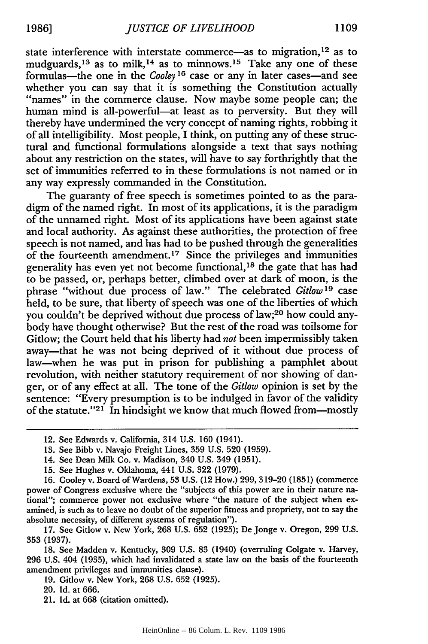state interference with interstate commerce-as to migration,<sup>12</sup> as to mudguards,<sup>13</sup> as to milk,<sup>14</sup> as to minnows.<sup>15</sup> Take any one of these formulas—the one in the *Cooley*<sup>16</sup> case or any in later cases—and see whether you can say that it is something the Constitution actually "names" in the commerce clause. Now maybe some people can; the human mind is all-powerful—at least as to perversity. But they will thereby have undermined the very concept of naming rights, robbing it of all intelligibility. Most people, I think, on putting any of these structural and functional formulations alongside a text that says nothing about any restriction on the states, will have to say forthrightly that the set of immunities referred to in these formulations is not named or in any way expressly commanded in the Constitution.

The guaranty of free speech is sometimes pointed to as the paradigm of the named right. In most of its applications, it is the paradigm of the unnamed right. Most of its applications have been against state and local authority. As against these authorities, the protection of free speech is not named, and has had to be pushed through the generalities of the fourteenth amendment.<sup>17</sup> Since the privileges and immunities generality has even yet not become functional,<sup>18</sup> the gate that has had to be passed, or, perhaps better, climbed over at dark of moon, is the phrase "without due process of law." The celebrated *Gitlow*<sup>19</sup> case held, to be sure, that liberty of speech was one of the liberties of which you couldn't be deprived without due process of law;<sup>20</sup> how could anybody have thought otherwise? But the rest of the road was toilsome for Gitlow; the Court held that his liberty had *not* been impermissibly taken away-that he was not being deprived of it without due process of law-when he was put in prison for publishing a pamphlet about revolution, with neither statutory requirement of nor showing of danger, or of any effect at all. The tone of the *Gitlow* opinion is set by the sentence: "Every presumption is to be indulged in favor of the validity of the statute."<sup>21</sup> In hindsight we know that much flowed from-mostly

- 13. See Bibb v. Navajo Freight Lines, 359 U.S. 520 (1959).
- 14. See Dean Milk Co. v. Madison, 340 U.S. 349 (1951).
- 15. See Hughes v. Oklahoma, 441 U.S. 322 (1979).

17. See Gitlow v. New York, 268 U.S. 652 (1925); De Jonge v. Oregon, 299 U.S. 353 (1937).

18. See Madden v. Kentucky, 309 U.S. 83 (1940) (overruling Colgate v. Harvey, 296 U.S. 404 (1935), which had invalidated a state law on the basis of the fourteenth amendment privileges and immunities clause).

19. Gitlow v. New York, 268 U.S. 652 (1925).

20. Id. at 666.

<sup>12.</sup> See Edwards v. California, 314 U.S. 160 (1941).

<sup>16.</sup> Cooley v. Board of Wardens, 53 U.S. (12 How.) 299, 319-20 (1851) (commerce power of Congress exclusive where the "subjects of this power are in their nature national"; commerce power not exclusive where "the nature of the subject when examined, is such as to leave no doubt of the superior fitness and propriety, not to say the absolute necessity, of different systems of regulation").

<sup>21.</sup> Id. at 668 (citation omitted).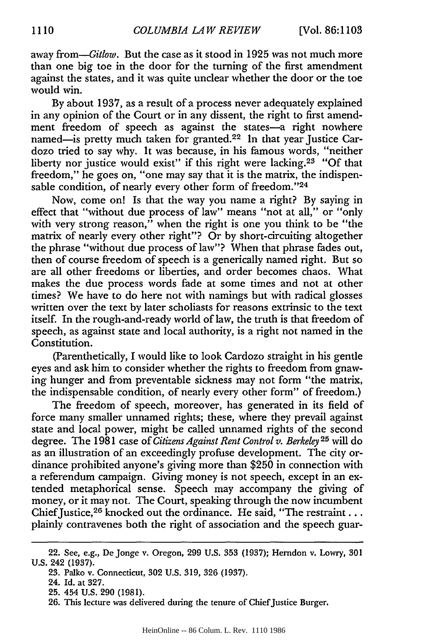away *from-Gitlow.* But the case as it stood in 1925 was not much more than one big toe in the door for the turning of the first amendment against the states, and it was quite unclear whether the door or the toe would win.

By about 1937, as a result of a process never adequately explained in any opinion of the Court or in any dissent, the right to first amendment freedom of speech as against the states-a right nowhere named-is pretty much taken for granted.<sup>22</sup> In that year Justice Cardozo tried to say why. It was because, in his famous words, "neither liberty nor justice would exist" if this right were lacking.<sup>25</sup> "Of that freedom," he goes on, "one may say that it is the matrix, the indispensable condition, of nearly every other form of freedom."24

Now, come on! Is that the way you name a right? By saying in effect that "without due process of law" means "not at all," or "only with very strong reason," when the right is one you think to be "the matrix of nearly every other right"? Or by short-circuiting altogether the phrase "without due process of law"? When that phrase fades out, then of course freedom of speech is a generically named right. But so are all other freedoms or liberties, and order becomes chaos. What makes the due process words fade at some times and not at other times? We have to do here not with namings but with radical glosses written over the text by later scholiasts for reasons extrinsic to the text itself. In the rough-and-ready world of law, the truth is that freedom of speech, as against state and local authority, is a right not named in the Constitution.

(Parenthetically, I would like to look Cardozo straight in his gentle eyes and ask him to consider whether the rights to freedom from gnawing hunger and from preventable sickness may not form "the matrix, the indispensable condition, of nearly every other form" of freedom.)

The freedom of speech, moreover, has generated in its field of force many smaller unnamed rights; these, where they prevail against state and local power, might be called unnamed rights of the second degree. The 1981 case of *Citizens Against Rent Control v. Berkeley*<sup>25</sup> will do as an illustration of an exceedingly profuse development. The city ordinance prohibited anyone's giving more than \$250 in connection with a referendum campaign. Giving money is not speech, except in an extended metaphorical sense. Speech may accompany the giving of money, or it may not. The Court, speaking through the now incumbent Chief Justice, <sup>26</sup> knocked out the ordinance. He said, "The restraint... plainly contravenes both the right of association and the speech guar-

<sup>22.</sup> See, e.g., De Jonge v. Oregon, 299 U.S. 353 (1937); Herndon v. Lowry, 301 U.S. 242 (1937).

<sup>23.</sup> Palko v. Connecticut, 302 U.S. 319, 326 (1937).

<sup>24.</sup> Id. at 327.

<sup>25. 454</sup> U.S. 290 (1981).

<sup>26.</sup> This lecture was delivered during the tenure of Chief Justice Burger.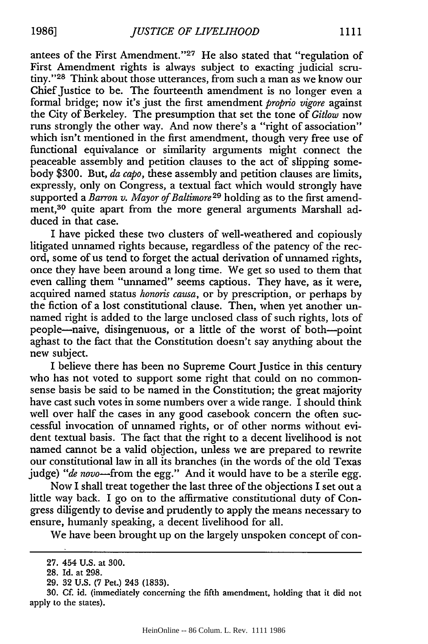antees of the First Amendment."<sup>27</sup> He also stated that "regulation of First Amendment rights is always subject to exacting judicial scrutiny."<sup>28</sup> Think about those utterances, from such a man as we know our Chief Justice to be. The fourteenth amendment is no longer even a formal bridge; now it's just the first amendment *proprio vigore* against the City of Berkeley. The presumption that set the tone of *Gitlow* now runs strongly the other way. And now there's a "right of association" which isn't mentioned in the first amendment, though very free use of functional equivalance or similarity arguments might connect the peaceable assembly and petition clauses to the act of slipping somebody **\$300.** But, *da capo,* these assembly and petition clauses are limits, expressly, only on Congress, a textual fact which would strongly have supported a *Barron v. Mayor of Baltimore29* holding as to the first amendment,<sup>30</sup> quite apart from the more general arguments Marshall adduced in that case.

I have picked these two clusters of well-weathered and copiously litigated unnamed rights because, regardless of the patency of the record, some of us tend to forget the actual derivation of unnamed rights, once they have been around a long time. We get so used to them that even calling them "unnamed" seems captious. They have, as it were, acquired named status *honoris causa,* or by prescription, or perhaps by the fiction of a lost constitutional clause. Then, when yet another unnamed right is added to the large unclosed class of such rights, lots of people-naive, disingenuous, or a little of the worst of both-point aghast to the fact that the Constitution doesn't say anything about the new subject.

I believe there has been no Supreme Court Justice in this century who has not voted to support some right that could on no commonsense basis be said to be named in the Constitution; the great majority have cast such votes in some numbers over a wide range. I should think well over half the cases in any good casebook concern the often successful invocation of unnamed rights, or of other norms without evident textual basis. The fact that the right to a decent livelihood is not named cannot be a valid objection, unless we are prepared to rewrite our constitutional law in all its branches (in the words of the old Texas judge) "*de novo*—from the egg." And it would have to be a sterile egg.

Now I shall treat together the last three of the objections I set out a little way back. I go on to the affirmative constitutional duty of Congress diligently to devise and prudently to apply the means necessary to ensure, humanly speaking, a decent livelihood for all.

We have been brought up on the largely unspoken concept of con-

<sup>27. 454</sup> U.S. at 300.

<sup>28.</sup> Id. at 298.

**<sup>29.</sup>** 32 **U.S. (7** Pet.) 243 (1833).

<sup>30.</sup> **Cf.** id. (immediately concerning the fifth amendment, holding that it did not apply to the states).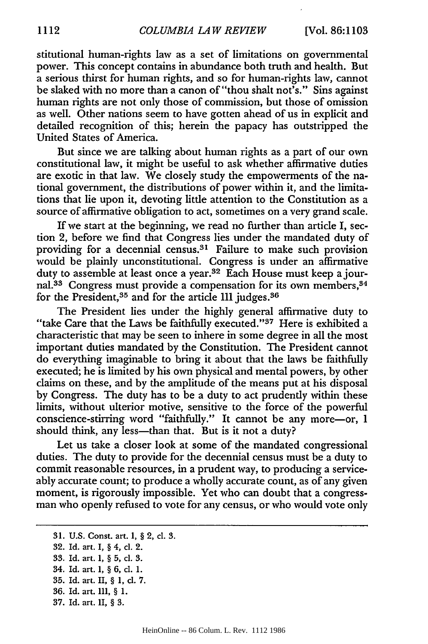stitutional human-rights law as a set of limitations on governmental power. This concept contains in abundance both truth and health. But a serious thirst for human rights, and so for human-rights law, cannot be slaked with no more than a canon of "thou shalt not's." Sins against human rights are not only those of commission, but those of omission as well. Other nations seem to have gotten ahead of us in explicit and detailed recognition of this; herein the papacy has outstripped the United States of America.

But since we are talking about human rights as a part of our own constitutional law, it might be useful to ask whether affirmative duties are exotic in that law. We closely study the empowerments of the national government, the distributions of power within it, and the limitations that lie upon it, devoting little attention to the Constitution as a source of affirmative obligation to act, sometimes on a very grand scale.

If we start at the beginning, we read no further than article I, section 2, before we find that Congress lies under the mandated duty of providing for a decennial census.<sup>31</sup> Failure to make such provision would be plainly unconstitutional. Congress is under an affirmative duty to assemble at least once a year.32 Each House must keep a journal.<sup>33</sup> Congress must provide a compensation for its own members,<sup>34</sup> for the President,<sup>35</sup> and for the article 111 judges.<sup>36</sup>

The President lies under the highly general affirmative duty to "take Care that the Laws be faithfully executed."37 Here is exhibited a characteristic that may be seen to inhere in some degree in all the most important duties mandated **by** the Constitution. The President cannot do everything imaginable to bring it about that the laws be faithfully executed; he is limited **by** his own physical and mental powers, **by** other claims on these, and **by** the amplitude of the means put at his disposal **by** Congress. The duty has to be a duty to act prudently within these limits, without ulterior motive, sensitive to the force of the powerful conscience-stirring word "faithfully." It cannot be any more-or, I should think, any less—than that. But is it not a duty?

Let us take a closer look at some of the mandated congressional duties. The duty to provide for the decennial census must be a duty to commit reasonable resources, in a prudent way, to producing a serviceably accurate count; to produce a wholly accurate count, as of any given moment, is rigorously impossible. Yet who can doubt that a congressman who openly refused to vote for any census, or who would vote only

**37. Id.** art. II, § 3.

**<sup>31.</sup>** U.S. Const. art. I, § 2, **d. 3.**

<sup>32.</sup> Id. art. I, § 4, cl. 2.

**<sup>33.</sup> Id.** art. I, § **5,** c. 3.

<sup>34.</sup> **Id.** art. I, § 6, **d. 1.**

**<sup>35.</sup>** Id. art. II, § 1, **d. 7.**

**<sup>36.</sup> Id.** art. III, § **1.**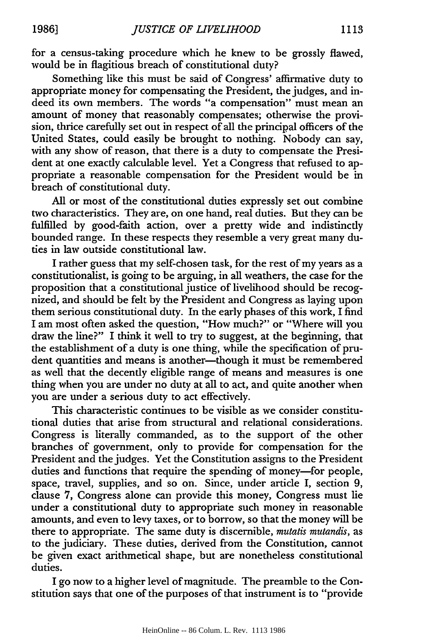for a census-taking procedure which he knew to be grossly flawed, would be in flagitious breach of constitutional duty?

Something like this must be said of Congress' affirmative duty to appropriate money for compensating the President, the judges, and indeed its own members. The words "a compensation" must mean an amount of money that reasonably compensates; otherwise the provision, thrice carefully set out in respect of all the principal officers of the United States, could easily be brought to nothing. Nobody can say, with any show of reason, that there is a duty to compensate the President at one exactly calculable level. Yet a Congress that refused to appropriate a reasonable compensation for the President would be in breach of constitutional duty.

All or most of the constitutional duties expressly set out combine two characteristics. They are, on one hand, real duties. But they can be fulfilled by good-faith action, over a pretty wide and indistinctly bounded range. In these respects they resemble a very great many duties in law outside constitutional law.

I rather guess that my self-chosen task, for the rest of my years as a constitutionalist, is going to be arguing, in all weathers, the case for the proposition that a constitutional justice of livelihood should be recognized, and should be felt by the President and Congress as laying upon them serious constitutional duty. In the early phases of this work, I find I am most often asked the question, "How much?" or "Where will you draw the line?" I think it well to try to suggest, at the beginning, that the establishment of a duty is one thing, while the specification of prudent quantities and means is another-though it must be remembered as well that the decently eligible range of means and measures is one thing when you are under no duty at all to act, and quite another when you are under a serious duty to act effectively.

This characteristic continues to be visible as we consider constitutional duties that arise from structural and relational considerations. Congress is literally commanded, as to the support of the other branches of government, only to provide for compensation for the President and the judges. Yet the Constitution assigns to the President duties and functions that require the spending of money-for people, space, travel, supplies, and so on. Since, under article I, section **9,** clause **7,** Congress alone can provide this money, Congress must lie under a constitutional duty to appropriate such money in reasonable amounts, and even to levy taxes, or to borrow, so that the money will be there to appropriate. The same duty is discernible, *mutatis mutandis,* as to the judiciary. These duties, derived from the Constitution, cannot be given exact arithmetical shape, but are nonetheless constitutional duties.

I go now to a higher level of magnitude. The preamble to the Constitution says that one of the purposes of that instrument is to "provide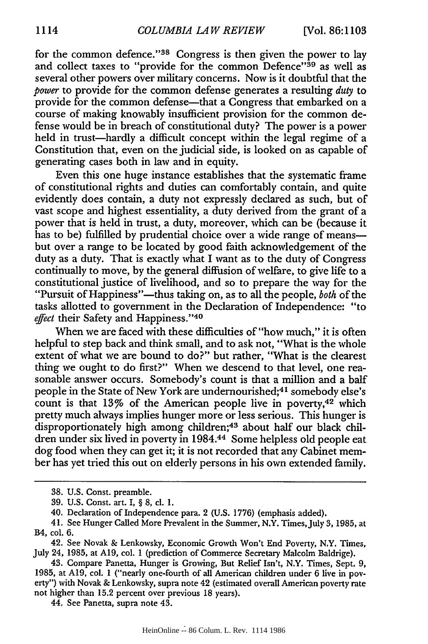for the common defence."<sup>38</sup> Congress is then given the power to lay and collect taxes to "provide for the common Defence"<sup>39</sup> as well as several other powers over military concerns. Now is it doubtful that the power to provide for the common defense generates a resulting *duty* to provide for the common defense—that a Congress that embarked on a course of making knowably insufficient provision for the common defense would be in breach of constitutional duty? The power is a power held in trust—hardly a difficult concept within the legal regime of a Constitution that, even on the judicial side, is looked on as capable of generating cases both in law and in equity.

Even this one huge instance establishes that the systematic frame of constitutional rights and duties can comfortably contain, and quite evidently does contain, a duty not expressly declared as such, but of vast scope and highest essentiality, a duty derived from the grant of a power that is held in trust, a duty, moreover, which can be (because it has to be) fulfilled by prudential choice over a wide range of means but over a range to be located by good faith acknowledgement of the duty as a duty. That is exactly what I want as to the duty of Congress continually to move, by the general diffusion of welfare, to give life to a constitutional justice of livelihood, and so to prepare the way for the "Pursuit of Happiness"-thus taking on, as to all the people, *both* of the tasks allotted to government in the Declaration of Independence: "to *effect* their Safety and Happiness. '40

When we are faced with these difficulties of "how much," it is often helpful to step back and think small, and to ask not, "What is the whole extent of what we are bound to do?" but rather, "What is the clearest thing we ought to do first?" When we descend to that level, one reasonable answer occurs. Somebody's count is that a million and a half people in the State of New York are undernourished;<sup>41</sup> somebody else's count is that  $13\%$  of the American people live in poverty,<sup>42</sup> which pretty much always implies hunger more or less serious. This hunger is disproportionately high among children;<sup>43</sup> about half our black children under six lived in poverty in 1984.<sup>44</sup> Some helpless old people eat dog food when they can get it; it is not recorded that any Cabinet member has yet tried this out on elderly persons in his own extended family.

44. See Panetta, supra note 43.

<sup>38.</sup> U.S. Const. preamble.

<sup>39.</sup> U.S. Const. art. I, § 8, cl. **1.**

<sup>40.</sup> Declaration of Independence para. 2 (U.S. 1776) (emphasis added).

<sup>41.</sup> See Hunger Called More Prevalent in the Summer, N.Y. Times,July 3, 1985, at B4, col. 6.

<sup>42.</sup> See Novak & Lenkowsky, Economic Growth Won't End Poverty, N.Y. Times, July 24, 1985, at A19, col. 1 (prediction of Commerce Secretary Malcolm Baldrige).

<sup>43.</sup> Compare Panetta, Hunger is Growing, But Relief Isn't, N.Y. Times, Sept. 9, 1985, at A19, col. 1 ("nearly one-fourth of all American children under 6 live in poverty") with Novak & Lenkowsky, supra note 42 (estimated overall American poverty rate not higher than 15.2 percent over previous 18 years).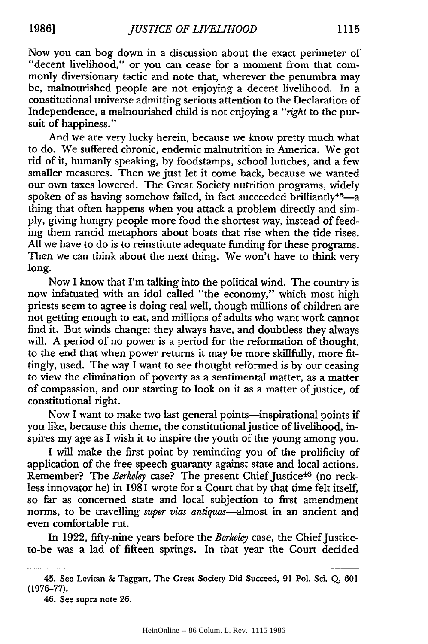Now you can bog down in a discussion about the exact perimeter of "decent livelihood," or you can cease for a moment from that commonly diversionary tactic and note that, wherever the penumbra may be, malnourished people are not enjoying a decent livelihood. In a constitutional universe admitting serious attention to the Declaration of Independence, a malnourished child is not enjoying a *"right* to the pursuit of happiness."

And we are very lucky herein, because we know pretty much what to do. We suffered chronic, endemic malnutrition in America. We got rid of it, humanly speaking, by foodstamps, school lunches, and a few smaller measures. Then we just let it come back, because we wanted our own taxes lowered. The Great Society nutrition programs, widely spoken of as having somehow failed, in fact succeeded brilliantly $45 - a$ thing that often happens when you attack a problem directly and simply, giving hungry people more food the shortest way, instead of feeding them rancid metaphors about boats that rise when the tide rises. All we have to do is to reinstitute adequate funding for these programs. Then we can think about the next thing. We won't have to think very long.

Now I know that I'm talking into the political wind. The country is now infatuated with an idol called "the economy," which most high priests seem to agree is doing real well, though millions of children are not getting enough to eat, and millions of adults who want work cannot find it. But winds change; they always have, and doubtless they always will. A period of no power is a period for the reformation of thought, to the end that when power returns it may be more skillfully, more fittingly, used. The way I want to see thought reformed is by our ceasing to view the elimination of poverty as a sentimental matter, as a matter of compassion, and our starting to look on it as a matter of justice, of constitutional right.

Now I want to make two last general points—inspirational points if you like, because this theme, the constitutional justice of livelihood, inspires my age as I wish it to inspire the youth of the young among you.

I will make the first point by reminding you of the prolificity of application of the free speech guaranty against state and local actions. Remember? The *Berkeley* case? The present Chief Justice<sup>46</sup> (no reckless innovator he) in **1981** wrote for a Court that by that time felt itself, so far as concerned state and local subjection to first amendment norms, to be travelling *super vias antiquas-almost* in an ancient and even comfortable rut.

In 1922, fifty-nine years before the *Berkeley* case, the Chief Justiceto-be was a lad of fifteen springs. In that year the Court decided

<sup>45.</sup> See Levitan & Taggart, The Great Society Did Succeed, 91 Pol. Sci. **Q. 601** (1976-77).

<sup>46.</sup> See supra note 26.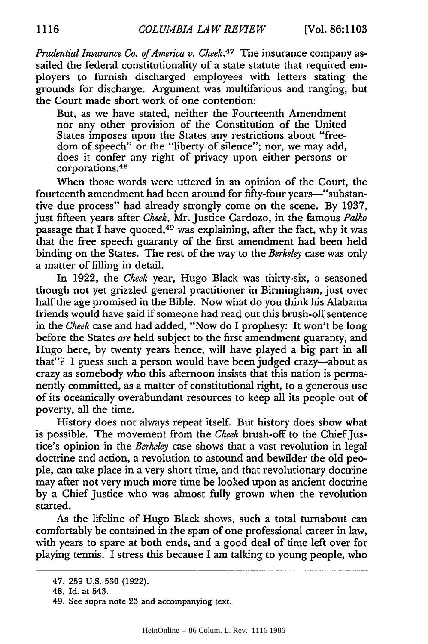*Prudential Insurance Co. of America v. Cheek.47* The insurance company assailed the federal constitutionality of a state statute that required employers to furnish discharged employees with letters stating the grounds for discharge. Argument was multifarious and ranging, but the Court made short work of one contention:

But, as we have stated, neither the Fourteenth Amendment nor any other provision of the Constitution of the United States imposes upon the States any restrictions about "freedom of speech" or the "liberty of silence"; nor, we may add, does it confer any right of privacy upon either persons or corporations. <sup>48</sup>

When those words were uttered in an opinion of the Court, the fourteenth amendment had been around for fifty-four years—"substantive due process" had already strongly come on the scene. By 1937, just fifteen years after *Cheek,* Mr. Justice Cardozo, in the famous *Palko* passage that I have quoted,<sup>49</sup> was explaining, after the fact, why it was that the free speech guaranty of the first amendment had been held binding on the States. The rest of the way to the *Berkeley* case was only a matter of filling in detail.

In 1922, the *Cheek* year, Hugo Black was thirty-six, a seasoned though not yet grizzled general practitioner in Birmingham, just over half the age promised in the Bible. Now what do you think his Alabama friends would have said if someone had read out this brush-off sentence in the *Cheek* case and had added, "Now do I prophesy: It won't be long before the States *are* held subject to the first amendment guaranty, and Hugo here, by twenty years hence, will have played a big part in all that"? I guess such a person would have been judged crazy-about as crazy as somebody who this afternoon insists that this nation is permanently committed, as a matter of constitutional right, to a generous use of its oceanically overabundant resources to keep all its people out of poverty, all the time.

History does not always repeat itself. But history does show what is possible. The movement from the *Cheek* brush-off to the Chief Justice's opinion in the *Berkeley* case shows that a vast revolution in legal doctrine and action, a revolution to astound and bewilder the old people, can take place in a very short time, and that revolutionary doctrine may after not very much more time be looked upon as ancient doctrine by a Chief Justice who was almost fully grown when the revolution started.

As the lifeline of Hugo Black shows, such a total turnabout can comfortably be contained in the span of one professional career in law, with years to spare at both ends, and a good deal of time left over for playing tennis. I stress this because I am talking to young people, who

<sup>47. 259</sup> U.S. 530 (1922).

<sup>48.</sup> Id. at 543.

<sup>49.</sup> See supra note 23 and accompanying text.